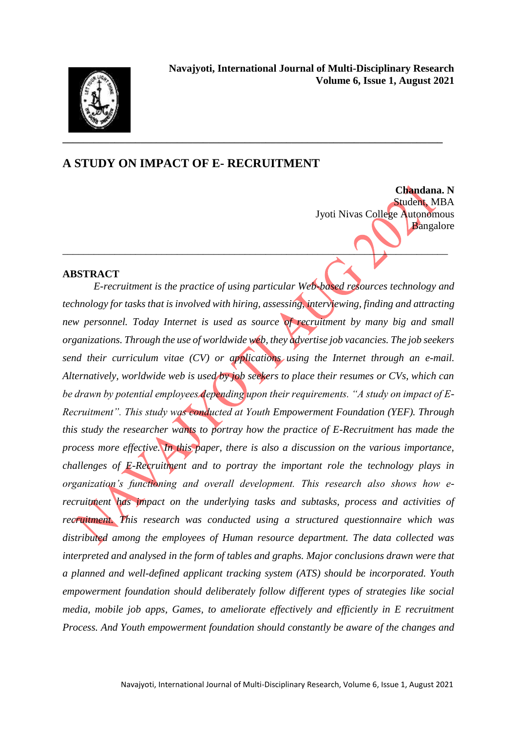

# **A STUDY ON IMPACT OF E- RECRUITMENT**

**Chandana. N** Student, MBA Jyoti Nivas College Autonomous Bangalore

#### **ABSTRACT**

*E-recruitment is the practice of using particular Web-based resources technology and technology for tasks that is involved with hiring, assessing, interviewing, finding and attracting new personnel. Today Internet is used as source of recruitment by many big and small organizations. Through the use of worldwide web, they advertise job vacancies. The job seekers send their curriculum vitae (CV) or applications using the Internet through an e-mail. Alternatively, worldwide web is used by job seekers to place their resumes or CVs, which can be drawn by potential employees depending upon their requirements. "A study on impact of E-Recruitment". This study was conducted at Youth Empowerment Foundation (YEF). Through this study the researcher wants to portray how the practice of E-Recruitment has made the process more effective. In this paper, there is also a discussion on the various importance, challenges of E-Recruitment and to portray the important role the technology plays in organization's functioning and overall development. This research also shows how erecruitment has impact on the underlying tasks and subtasks, process and activities of recruitment. This research was conducted using a structured questionnaire which was distributed among the employees of Human resource department. The data collected was interpreted and analysed in the form of tables and graphs. Major conclusions drawn were that a planned and well-defined applicant tracking system (ATS) should be incorporated. Youth empowerment foundation should deliberately follow different types of strategies like social media, mobile job apps, Games, to ameliorate effectively and efficiently in E recruitment Process. And Youth empowerment foundation should constantly be aware of the changes and* 

 $\overline{\phantom{a}}$  ,  $\overline{\phantom{a}}$  ,  $\overline{\phantom{a}}$  ,  $\overline{\phantom{a}}$  ,  $\overline{\phantom{a}}$  ,  $\overline{\phantom{a}}$  ,  $\overline{\phantom{a}}$  ,  $\overline{\phantom{a}}$  ,  $\overline{\phantom{a}}$  ,  $\overline{\phantom{a}}$  ,  $\overline{\phantom{a}}$  ,  $\overline{\phantom{a}}$  ,  $\overline{\phantom{a}}$  ,  $\overline{\phantom{a}}$  ,  $\overline{\phantom{a}}$  ,  $\overline{\phantom{a}}$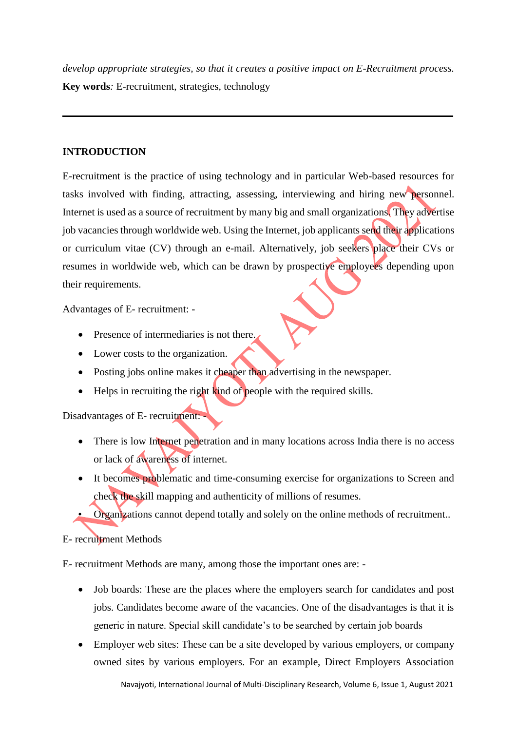*develop appropriate strategies, so that it creates a positive impact on E-Recruitment process.*  **Key words***:* E-recruitment, strategies, technology

**\_\_\_\_\_\_\_\_\_\_\_\_\_\_\_\_\_\_\_\_\_\_\_\_\_\_\_\_\_\_\_\_\_\_\_\_\_\_\_\_\_\_\_\_\_\_\_\_\_\_\_\_\_\_\_\_\_\_\_\_\_\_\_\_\_\_\_\_\_\_\_\_\_\_\_**

# **INTRODUCTION**

E-recruitment is the practice of using technology and in particular Web-based resources for tasks involved with finding, attracting, assessing, interviewing and hiring new personnel. Internet is used as a source of recruitment by many big and small organizations. They advertise job vacancies through worldwide web. Using the Internet, job applicants send their applications or curriculum vitae (CV) through an e-mail. Alternatively, job seekers place their CVs or resumes in worldwide web, which can be drawn by prospective employees depending upon their requirements.

Advantages of E- recruitment: -

- Presence of intermediaries is not there.
- Lower costs to the organization.
- Posting jobs online makes it cheaper than advertising in the newspaper.
- $\bullet$  Helps in recruiting the right kind of people with the required skills.

Disadvantages of E- recruitment: -

- There is low Internet penetration and in many locations across India there is no access or lack of awareness of internet.
- It becomes problematic and time-consuming exercise for organizations to Screen and check the skill mapping and authenticity of millions of resumes.
- Organizations cannot depend totally and solely on the online methods of recruitment..
- E- recruitment Methods

E- recruitment Methods are many, among those the important ones are: -

- Job boards: These are the places where the employers search for candidates and post jobs. Candidates become aware of the vacancies. One of the disadvantages is that it is generic in nature. Special skill candidate's to be searched by certain job boards
- Employer web sites: These can be a site developed by various employers, or company owned sites by various employers. For an example, Direct Employers Association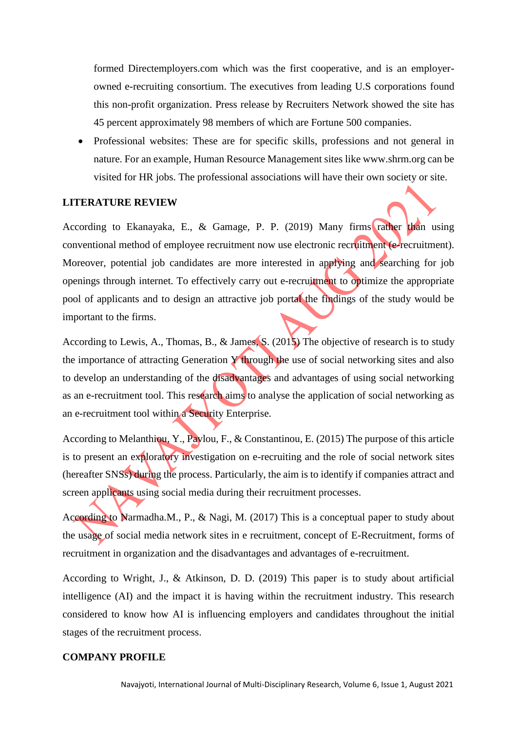formed Directemployers.com which was the first cooperative, and is an employerowned e-recruiting consortium. The executives from leading U.S corporations found this non-profit organization. Press release by Recruiters Network showed the site has 45 percent approximately 98 members of which are Fortune 500 companies.

 Professional websites: These are for specific skills, professions and not general in nature. For an example, Human Resource Management sites like www.shrm.org can be visited for HR jobs. The professional associations will have their own society or site.

#### **LITERATURE REVIEW**

According to Ekanayaka, E., & Gamage, P. P. (2019) Many firms rather than using conventional method of employee recruitment now use electronic recruitment (e-recruitment). Moreover, potential job candidates are more interested in applying and searching for job openings through internet. To effectively carry out e-recruitment to optimize the appropriate pool of applicants and to design an attractive job portal the findings of the study would be important to the firms.

According to Lewis, A., Thomas, B., & James, S. (2015) The objective of research is to study the importance of attracting Generation Y through the use of social networking sites and also to develop an understanding of the disadvantages and advantages of using social networking as an e-recruitment tool. This research aims to analyse the application of social networking as an e-recruitment tool within a Security Enterprise.

According to Melanthiou, Y., Pavlou, F., & Constantinou, E. (2015) The purpose of this article is to present an exploratory investigation on e-recruiting and the role of social network sites (hereafter SNSs) during the process. Particularly, the aim is to identify if companies attract and screen applicants using social media during their recruitment processes.

According to Narmadha.M., P., & Nagi, M. (2017) This is a conceptual paper to study about the usage of social media network sites in e recruitment, concept of E-Recruitment, forms of recruitment in organization and the disadvantages and advantages of e-recruitment.

According to Wright, J., & Atkinson, D. D. (2019) This paper is to study about artificial intelligence (AI) and the impact it is having within the recruitment industry. This research considered to know how AI is influencing employers and candidates throughout the initial stages of the recruitment process.

#### **COMPANY PROFILE**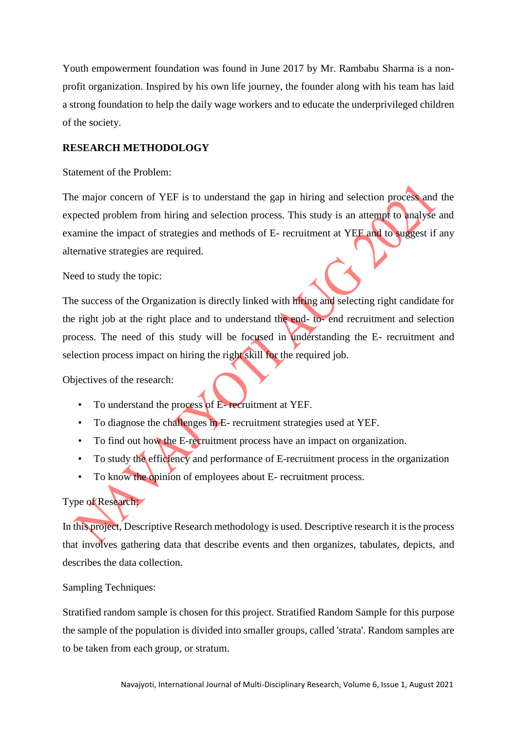Youth empowerment foundation was found in June 2017 by Mr. Rambabu Sharma is a nonprofit organization. Inspired by his own life journey, the founder along with his team has laid a strong foundation to help the daily wage workers and to educate the underprivileged children of the society.

# **RESEARCH METHODOLOGY**

#### Statement of the Problem:

The major concern of YEF is to understand the gap in hiring and selection process and the expected problem from hiring and selection process. This study is an attempt to analyse and examine the impact of strategies and methods of E- recruitment at YEF and to suggest if any alternative strategies are required.

#### Need to study the topic:

The success of the Organization is directly linked with hiring and selecting right candidate for the right job at the right place and to understand the end- to- end recruitment and selection process. The need of this study will be focused in understanding the E- recruitment and selection process impact on hiring the right skill for the required job.

Objectives of the research:

- To understand the process of E- recruitment at YEF.
- To diagnose the challenges in E- recruitment strategies used at YEF.
- To find out how the E-recruitment process have an impact on organization.
- To study the efficiency and performance of E-recruitment process in the organization
- To know the opinion of employees about E- recruitment process.

# Type of Research:

In this project, Descriptive Research methodology is used. Descriptive research it is the process that involves gathering data that describe events and then organizes, tabulates, depicts, and describes the data collection.

# Sampling Techniques:

Stratified random sample is chosen for this project. Stratified Random Sample for this purpose the sample of the population is divided into smaller groups, called 'strata'. Random samples are to be taken from each group, or stratum.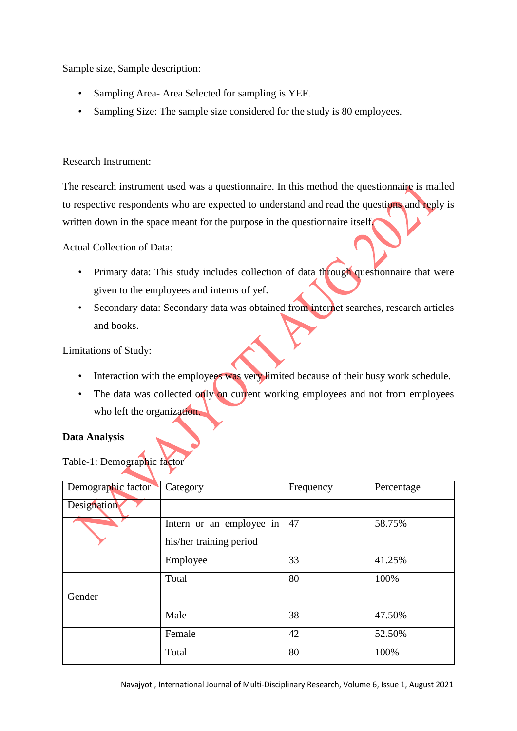Sample size, Sample description:

- Sampling Area- Area Selected for sampling is YEF.
- Sampling Size: The sample size considered for the study is 80 employees.

### Research Instrument:

The research instrument used was a questionnaire. In this method the questionnaire is mailed to respective respondents who are expected to understand and read the questions and reply is written down in the space meant for the purpose in the questionnaire itself.

Actual Collection of Data:

- Primary data: This study includes collection of data through questionnaire that were given to the employees and interns of yef.
- Secondary data: Secondary data was obtained from internet searches, research articles and books.

Limitations of Study:

- Interaction with the employees was very limited because of their busy work schedule.
- The data was collected only on current working employees and not from employees who left the organization.

#### **Data Analysis**

Table-1: Demographic factor

| Demographic factor | Category                 | Frequency | Percentage |
|--------------------|--------------------------|-----------|------------|
| Designation        |                          |           |            |
|                    | Intern or an employee in | 47        | 58.75%     |
|                    | his/her training period  |           |            |
|                    | Employee                 | 33        | 41.25%     |
|                    | Total                    | 80        | 100%       |
| Gender             |                          |           |            |
|                    | Male                     | 38        | 47.50%     |
|                    | Female                   | 42        | 52.50%     |
|                    | Total                    | 80        | 100%       |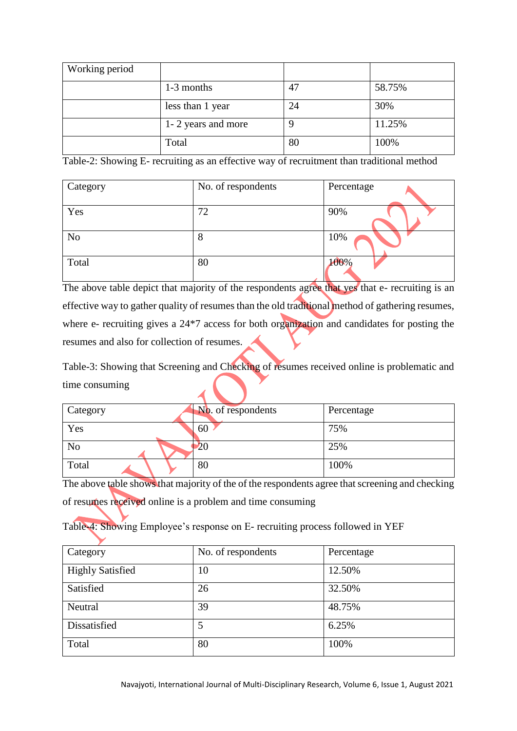| Working period |                    |    |        |
|----------------|--------------------|----|--------|
|                | 1-3 months         | 47 | 58.75% |
|                | less than 1 year   | 24 | 30%    |
|                | 1-2 years and more |    | 11.25% |
|                | Total              | 80 | 100%   |

Table-2: Showing E- recruiting as an effective way of recruitment than traditional method

| Category       | No. of respondents | Percentage |
|----------------|--------------------|------------|
| Yes            | 72                 | 90%        |
| N <sub>o</sub> | 8                  | 10%        |
| Total          | 80                 | 100%       |

The above table depict that majority of the respondents agree that yes that e- recruiting is an effective way to gather quality of resumes than the old traditional method of gathering resumes, where e- recruiting gives a 24<sup>\*7</sup> access for both organization and candidates for posting the resumes and also for collection of resumes.

Table-3: Showing that Screening and Checking of resumes received online is problematic and time consuming

| Category       | No. of respondents | Percentage |
|----------------|--------------------|------------|
| Yes            | 60                 | 75%        |
| N <sub>o</sub> | 20                 | 25%        |
| Total          | 80                 | 100%       |

The above table shows that majority of the of the respondents agree that screening and checking of resumes received online is a problem and time consuming

Table-4: Showing Employee's response on E- recruiting process followed in YEF

| Category                | No. of respondents | Percentage |
|-------------------------|--------------------|------------|
| <b>Highly Satisfied</b> | 10                 | 12.50%     |
| Satisfied               | 26                 | 32.50%     |
| Neutral                 | 39                 | 48.75%     |
| Dissatisfied            | 5                  | 6.25%      |
| Total                   | 80                 | 100%       |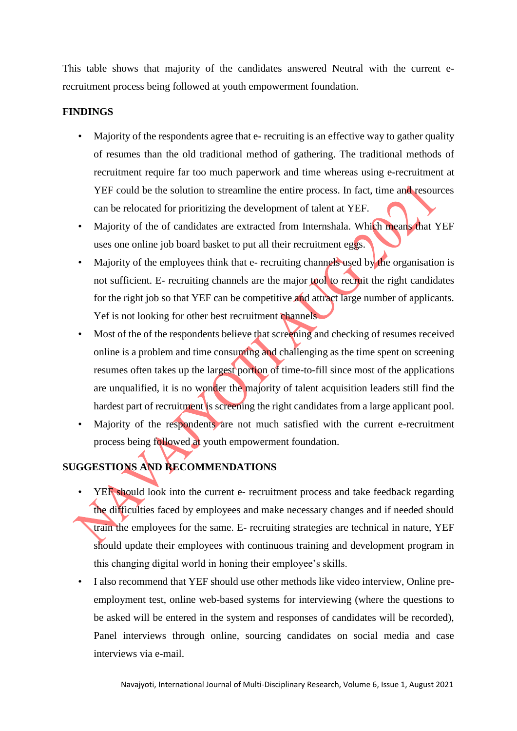This table shows that majority of the candidates answered Neutral with the current erecruitment process being followed at youth empowerment foundation.

### **FINDINGS**

- Majority of the respondents agree that e- recruiting is an effective way to gather quality of resumes than the old traditional method of gathering. The traditional methods of recruitment require far too much paperwork and time whereas using e-recruitment at YEF could be the solution to streamline the entire process. In fact, time and resources can be relocated for prioritizing the development of talent at YEF.
- Majority of the of candidates are extracted from Internshala. Which means that YEF uses one online job board basket to put all their recruitment eggs.
- Majority of the employees think that e- recruiting channels used by the organisation is not sufficient. E- recruiting channels are the major tool to recruit the right candidates for the right job so that YEF can be competitive and attract large number of applicants. Yef is not looking for other best recruitment channels
- Most of the of the respondents believe that screening and checking of resumes received online is a problem and time consuming and challenging as the time spent on screening resumes often takes up the largest portion of time-to-fill since most of the applications are unqualified, it is no wonder the majority of talent acquisition leaders still find the hardest part of recruitment is screening the right candidates from a large applicant pool.
- Majority of the respondents are not much satisfied with the current e-recruitment process being followed at youth empowerment foundation.

# **SUGGESTIONS AND RECOMMENDATIONS**

- YEF should look into the current e- recruitment process and take feedback regarding the difficulties faced by employees and make necessary changes and if needed should train the employees for the same. E- recruiting strategies are technical in nature, YEF should update their employees with continuous training and development program in this changing digital world in honing their employee's skills.
- I also recommend that YEF should use other methods like video interview, Online preemployment test, online web-based systems for interviewing (where the questions to be asked will be entered in the system and responses of candidates will be recorded), Panel interviews through online, sourcing candidates on social media and case interviews via e-mail.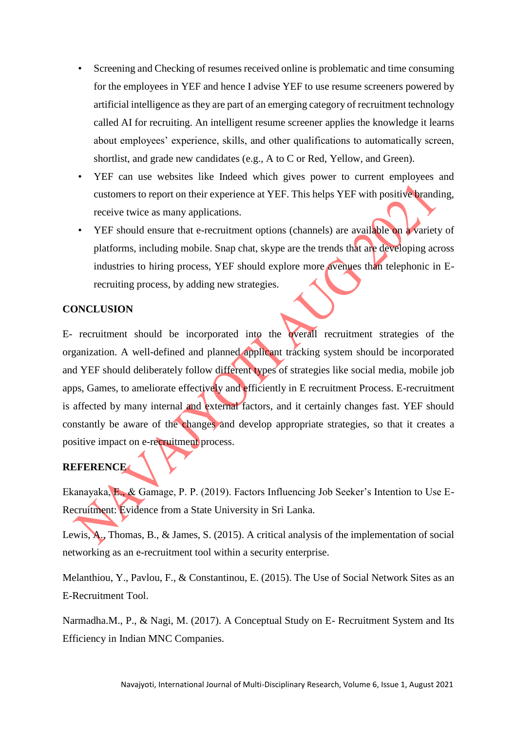- Screening and Checking of resumes received online is problematic and time consuming for the employees in YEF and hence I advise YEF to use resume screeners powered by artificial intelligence as they are part of an emerging category of recruitment technology called AI for recruiting. An intelligent resume screener applies the knowledge it learns about employees' experience, skills, and other qualifications to automatically screen, shortlist, and grade new candidates (e.g., A to C or Red, Yellow, and Green).
- YEF can use websites like Indeed which gives power to current employees and customers to report on their experience at YEF. This helps YEF with positive branding, receive twice as many applications.
- YEF should ensure that e-recruitment options (channels) are available on a variety of platforms, including mobile. Snap chat, skype are the trends that are developing across industries to hiring process, YEF should explore more avenues than telephonic in Erecruiting process, by adding new strategies.

#### **CONCLUSION**

E- recruitment should be incorporated into the overall recruitment strategies of the organization. A well-defined and planned applicant tracking system should be incorporated and YEF should deliberately follow different types of strategies like social media, mobile job apps, Games, to ameliorate effectively and efficiently in E recruitment Process. E-recruitment is affected by many internal and external factors, and it certainly changes fast. YEF should constantly be aware of the changes and develop appropriate strategies, so that it creates a positive impact on e-recruitment process.

# **REFERENCE**

Ekanayaka, E., & Gamage, P. P. (2019). Factors Influencing Job Seeker's Intention to Use E-Recruitment: Evidence from a State University in Sri Lanka.

Lewis, A., Thomas, B., & James, S. (2015). A critical analysis of the implementation of social networking as an e-recruitment tool within a security enterprise.

Melanthiou, Y., Pavlou, F., & Constantinou, E. (2015). The Use of Social Network Sites as an E-Recruitment Tool.

Narmadha.M., P., & Nagi, M. (2017). A Conceptual Study on E- Recruitment System and Its Efficiency in Indian MNC Companies.